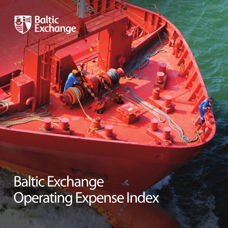

**Baltic Exchange** Operating Expense Index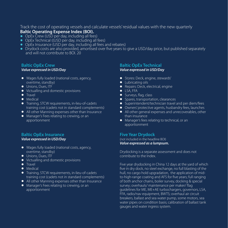#### Track the cost of operating vessels and calculate vessels'residual values with the new quarterly **Baltic Operating Expense Index (BOI).**

- OpEx Crew (USD per day, including all fees)
- $\bullet$  OpEx Technical ((USD per day, including all fees)
- OpEx Insurance (USD per day, including all fees and rebates)
- Drydock costs are also provided, amortised over five years to give a USD/day price, but published separately and will not contribute to BOI. 20

### **Baltic OpEx Crew**

#### *Value expressed in USD/Day*

- Wages fully loaded (national costs, agency, overtime, standby)
- $\bullet$  Unions, Dues, ITF
- Victualling and domestic provisions
- $\bullet$  Travel
- $\bullet$  Medical
- **•** Training, STCW requirements, in-lieu-of-cadets training cost (cadets not in standard complements)
- $\bullet$  All other Manning expenses other than Insurance
- Manager's Fees relating to crewing, or an apportionment

# **Baltic OpEx Insurance**

# *Value expressed in USD/Day*

- **•** Wages fully loaded (national costs, agency, overtime, standby)
- $\bullet$  Unions, Dues, ITF
- Victualling and domestic provisions
- $\bullet$  Travel
- $\bullet$  Medical
- **•** Training, STCW requirements, in-lieu-of-cadets training cost (cadets not in standard complements)
- All other Manning expenses other than Insurance
- Manager's Fees relating to crewing, or an apportionment

# **Baltic OpEx Technical**

#### *Value expressed in USD/Day*

- **•** Stores: Deck, engine, stewards'
- Lubricating oils
- Repairs: Deck, electrical, engine
- $\bullet$  LSA, FFA
- **•** Surveys, flag, class
- Spares, transportation, clearances
- $\bullet$  Superintendent/technician travel and per diem/fees
- Owners' protective agents, husbandry fees, launches
- $\bullet$  All other general expenses and unrecoverables, other than insurance
- Manager's fees relating to technical, or an apportionment

# **Five Year Drydock**

(not included in the headline BOI) *Value expressed as a lumpsum.*

Drydocking is a separate assessment and does not contribute to the Index.

Five year drydocking in China 12 days at the yard of which five in dry dock, no steel exchange, no full blasting of the hull, no cargo hold upgradation, the application of midto-high-range coating and AFS for five years; full ranging of both anchor chains, boiler survey, docking & special survey; overhauls/ maintenance per maker/ flag guidelines for ME, ME+AE turbochargers, governors, LSA, FFA, radio/nav equipment, BWTS; overhaul air circuit breakers, ballast and sea water pump, some motors, sea water pipes on condition basis; calibration of ballast tank gauges and water ingress system.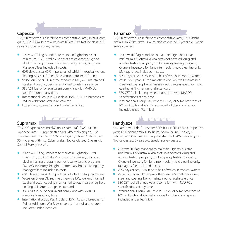### **Capesize**

180,000 mt dwt built in"first class competitive yard", 199,000cbm grain, LOA 290m, beam 45m, draft 18.2m SSW. Not ice classed. 5 years old. Special survey passed.

- l 19 crew, ITF flag, standard to maintain Rightship 3-star minimum, US/Australia Visa costs not covered; drug and alcohol testing program, bunker quality testing program. Managers'fees included in costs.
- 60% days at sea, 40% in port, half of which in tropical waters. Trading Australia/China, Brazil/Rotterdam, Brazil/China.
- l Vessel on 5-year DD regime otherwise IWS, well-maintained steel and coating, being maintained to retain sale price.
- 380 CST fuel oil or equivalent compliant with MARPOL specifications at any time.
- l International Group P&I, 1st class H&M, IACS. No breaches of IWL or Additional War Risks covered.
- **•** Lubeoil and spares included under Technical.



#### Supramax

"Tess 58"type 58,328 mt dwt on 12.80m draft SSW built in a Japanese yard – European standard B&W main engine. LOA 189.99m, Beam 32.26m, 72,360 cbm grain, 5 holds/hatches, 4 x 30mt cranes with 4 x 12cbm grabs. Not ice-classed. 5 years old. Special Survey passed.

- **•** 20 crew, ITF flag, standard to maintain Rightship 3-star minimum, US/Australia Visa costs not covered; drug and alcohol testing program, bunker quality testing program, Owner's inventory for light intermediary hold cleaning only. Managers'fees included in costs.
- 60% days at sea, 40% in port, half of which in tropical waters.
- l Vessel on 5-year DD regime otherwise IWS, well-maintained steel and coating, being maintained to retain sale price, hold coating at N American grain standard.
- 380 CST fuel oil or equivalent compliant with MARPOL specifications at any time
- International Group P&I, 1st class H&M, IACS. No breaches of IWL or Additional War Risks covered. - Lubeoil and spares included under Technical

#### Panamax

82,500 mt dwt built in"first class competitive yard", 97,000cbm grain, LOA 229m, draft 14.43m. Not ice classed. 5 years old. Special survey passed.

- l 19 crew, ITF flag, standard to maintain Rightship 3-star minimum, US/Australia Visa costs not covered; drug and alcohol testing program, bunker quality testing program, Owner's inventory for light intermediary hold cleaning only. Managers'fees included in costs.
- 60% days at sea, 40% in port, half of which in tropical waters.
- l Vessel on 5-year DD regime otherwise IWS, well-maintained steel and coating, being maintained to retain sale price, hold coating at N American grain standard.
- 380 CST fuel oil or equivalent compliant with MARPOL specifications at any time.
- **International Group P&I, 1st class H&M, IACS. No breaches of** IWL or Additional War Risks covered. - Lubeoil and spares included under Technical.

### Handysize

38,200mt dwt at draft 10.538m SSW, built in"first class competitive yard", 47,125cbm grain, LOA 180m, beam 29.8m, 5 holds, 5 hatches, 4 x 30mt cranes, European standard B&W main engine. Not ice classed. 5 years old. Special survey passed.

- 20 crew, ITF flag, standard to maintain Rightship 3-star minimum, US/Australia Visa costs not covered; drug and alcohol testing program, bunker quality testing program, Owner's inventory for light intermediary hold cleaning only. Managers'fees included in costs.
- **1** 70% days at sea, 30% in port, half of which in tropical waters.
- l Vessel on 5-year DD regime otherwise IWS, well-maintained steel and coating, being maintained to retain sale price
- 380 CST fuel oil or equivalent compliant with MARPOL specifications at any time
- **International Group P&I, 1st class H&M, IACS. No breaches of** IWL or Additional War Risks covered. - Lubeoil and spares included under Technical